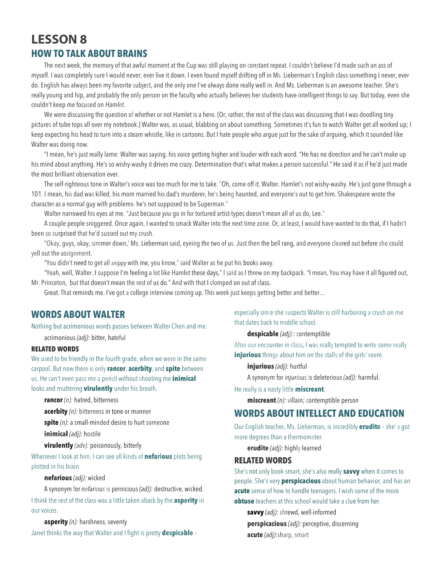# **LESSON 8 HOW TO TALK ABOUT BRAINS**

The next week, the memory of that awful moment at the Cup was still playing on constant repeat. I couldn't believe I'd made such an ass of myself. I was completely sure I would never, ever live it down. I even found myself drifting off in Ms. Lieberman's English class-something I never, ever do. English has always been my favorite subject, and the only one I've always done really well in. And Ms. Lieberman is an awesome teacher. She's really young and hip, and probably the only person on the faculty who actually believes her students have intelligent things to say. But today, even she couldn't keep me focused on *Hamlet.*

We were discussing the question of whether or not Hamlet is a hero. (Or, rather, the rest of the class was discussing that-I was doodling tiny pictures of tube tops all over my notebook.) Walter was, as usual, blabbing on about something. Sometimes it's fun to watch Walter get all worked up; I keep expecting his head to turn into a steam whistle, like in cartoons. But I hate people who argue just for the sake of arguing, which it sounded like Walter was doing now.

"I mean, he's just really lame: Walter was saying, his voice getting higher and louder with each word. "He has no direction and he can't make up his mind about anything. He's so wishy-washy it drives me crazy. Determination-that's what makes a person successful." He said it as if he'd just made the most brilliant observation ever.

The self-righteous tone in Walter's voice was too much for me to take. "Oh, come off it, Walter. Hamlet's not wishy-washy. He's just gone through a 101. I mean, his dad was killed, his mom married his dad's murderer, he's being haunted, and everyone's out to get him. Shakespeare wrote the character as a normal guy with problems- he's not supposed to be Superman."

Walter narrowed his eyes at me. "Just because *you* go in for tortured artist·types doesn't mean all of us do, Lee."

A couple people sniggered. Once again, I wanted to smack Walter into the next time zone. Or, at least, I would have wanted to do that, if I hadn't been so surprised that he'd sussed out my crush.

"Okay, guys, okay, simmer down,' Ms. Lieberman said, eyeing the two of us. Just then the bell rang, and everyone cleared out before she could yell out the assignment.

"You didn't need to get all *snippy* with me, you know," said Walter as he put his books away.

"Yeah, well, Walter, I suppose I'm feeling a lot like Hamlet these days," I said as I threw on my backpack. "I mean, You may have it all figured out, Mr. Princeton, but that doesn't mean the rest of us do." And with that I clomped on out of class.

Great. That reminds me. I've got a college interview coming up. This week just keeps getting better and better....

## **WORDS ABOUT WALTER**

Nothing but acrimonious words passes between Walter Chen and me.

acrimonious *(adj):* bitter, hateful

#### **RELATED WORDS**

We used to be friendly in the fourth grade, when we were in the same carpool. But now there is only **rancor**, **acerbity**, and **spite** between us. He can't even pass me a pencil without shooting me **inimical** looks and muttering **virulently** under his breath.

**rancor** *(n):* hatred, bitterness

**acerbity** *(n):* bitterness in tone or manner

**spite** *(n):* a small-minded desire to hurt someone

**inimical** *(adj):* hostile

**virulently** *(adv):* poisonously, bitterly

Whenever I look at him, I can see all kinds of **nefarious** plots being plotted in his brain.

#### **nefarious** *(adj):* wicked

A synonym for *nefarious* is pernicious *(ad)):* destructive, wicked. I think the rest of the class was a little taken aback by the **asperity** in our voices.

**asperity** *(n):* harshness, seventy

Janet thinks the way that Walter and I fight is pretty **despicable** –

especially since she suspects Walter is still harboring a crush on me that dates back to middle school.

**despicable** *(adj)::* contemptible

After our encounter in class, I was really tempted to write some really **injurious** things about him on the stalls of the girls' room.

**injurious** *(adj):* hurtful

A synonym for *injurious* is deleterious *(ad)):* harmful.

He really is a nasty little **miscreant**.

**miscreant** *(n):* villain; contemptible person

### **WORDS ABOUT INTELLECT AND EDUCATION**

Our English teacher, Ms. Lieberman, is incredibly **erudite** – she' s got more degrees than a thermometer.

**erudite** *(adj):* highly learned

#### **RELATED WORDS**

She's not only book-smart, she's also really **savvy** when it comes to people. She's very **perspicacious** about human behavior, and has an **acute** sense of how to handle teenagers. I wish some of the more **obtuse** teachers at this school would take a clue from her.

**savvy** *(adj):* shrewd, well-informed

**perspicacious** *(adj):* perceptive, discerning **acute** *(adj):*sharp, smart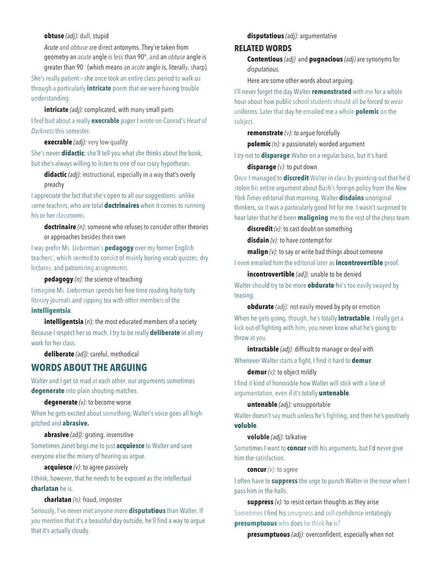#### **obtuse** *(adj):* dull, stupid

*Acute* and *obtuse* are direct antonyms. They're taken from geometry-an *acute* angle is less than 90°, and an *obtuse* angle is greater than 90 ' (which means an *acute* angle is, literally, sharp).

She's really patient – she once took an entire class period to walk us through a particularly **intricate** poem that we were having trouble understanding.

**intricate** *(adj)*: complicated, with many small parts I feel bad about a really **execrable** paper I wrote on Conrad's *Heart* of *Darkness* this semester.

**execrable** *(adj):* very low-quality

She's never **didactic**; she'll tell you what she thinks about the book, but she's always willing to listen to one of our crazy hypotheses.

**didactic** *(adj):* instructional, especially in a way that's overly preachy

I appreciate the fact that she's open to all *our* suggestions- unlike some teachers, who are total **doctrinaires** when it comes to running his or her classrooms.

**doctrinaire** *(n):* someone who refuses to consider other theories or approaches besides their own

I way prefer Ms. Lieberman's **pedagogy** over my former English teachers', which seemed to consist of mainly boring vocab quizzes, dry lectures, and patronizing assignments.

**pedagogy** *(n):* the science of teaching

I imagine Ms. Lieberman spends her free time reading hoity-toity literary journals and sipping tea with other members of the **intelligentsia**.

**intelligentsia** (n): the most educated members of a society

Because I respect her so much, I try to be really **deliberate** in all my work for her class.

**deliberate** *(ad}):* careful, methodical

### **WORDS ABOUT THE ARGUING**

Walter and I get so mad at each other, our arguments sometimes **degenerate** into plain shouting matches.

**degenerate** *(v):* to become worse

When he gets excited about something, Walter's voice goes all highpitched and **abrasive.**

#### **abrasive** *(ad}):* grating, insensitive

Sometimes Janet begs me to just **acquiesce** to Walter and save everyone else the misery of hearing us argue.

#### **acquiesce** *(v):* to agree passively

I think, however, that he needs to be exposed as the intellectual **charlatan** he is.

**charlatan** *(n):* fraud, imposter

Seriously, I've never met anyone more **disputatious** than Walter. If *you* mention that it's a beautiful day outside, he'll find a way to argue that it's actually cloudy.

#### **disputatious** *(adj):* argumentative

#### **RELATED WORDS**

**Contentious** *(adj)* and **pugnacious** *(adj)* are synonyms for *disputatious.*

Here are some other words about arguing.

I'll never forget the day Walter **remonstrated** with me for a whole hour about how public school students should all be forced *to* wear uniforms. Later that day he emailed me a whole **polemic** on the subject.

**remonstrate** *(v): to* argue forcefully

**polemic** *(n):* a passionately worded argument

I *try* not to **disparage** Walter on a regular basis, but it's hard.

**disparage** *(v):* to put down

Once I managed to **discredit** Walter in class by pointing out that he'd stolen his entire argument about Bush's foreign policy from the *New York Times* editorial that morning. Walter **disdains** unoriginal thinkers, so it was a particularly good hit for me. I wasn't surprised to hear later that he'd been **maligning** me to the rest of the chess team.

**discredit** *(v):* to cast doubt on something

**disdain** *(v):* to have contempt for

**malign** *(v):* to say or write bad things about someone

I even emailed him the editorial later as **incontrovertible** proof.

**incontrovertible** *(ad}):* unable to be denied

Walter should try to be more **obdurate**-he's too easily swayed by teasing.

**obdurate** *(adj):* not easily moved by pity or emotion When he gets going, though, he's totally **intractable**. I really get a kick out of fighting with him; you never know what he's going to throw at you.

**intractable** *(adj):* difficult to manage or deal with Whenever Walter starts a fight, I find it hard to **demur**.

**demur** *(v):* to object mildly

I find it kind of honorable how Walter will stick with a line of argumentation, even if it's totally **untenable**.

#### **untenable** *(adj):* unsupportable

Walter doesn't say much unless he's fighting, and then he's positively **voluble**.

#### **voluble** *(adj):* talkative

Sometimes I want to **concur** with his arguments, but I'd never give him the satisfaction.

#### **concur** *(v):* to agree

I often have to **suppress** the urge to punch Walter in the nose when I pass him in the halls.

**suppress** *(v):* to resist certain thoughts as they arise Sometimes I find his smugness and self-confidence irritatingly **presumptuous** who does he think he is?

**presumptuous** *(adj):* overconfident, especially when not